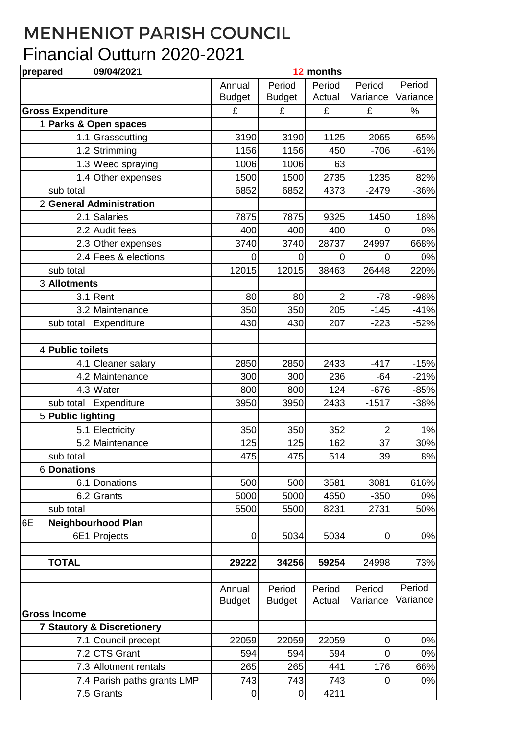## MENHENIOT PARISH COUNCIL Financial Outturn 2020-2021

| prepared       |                          | 09/04/2021                          |               |               | 12 months      |                |          |
|----------------|--------------------------|-------------------------------------|---------------|---------------|----------------|----------------|----------|
|                |                          |                                     | Annual        | Period        | Period         | Period         | Period   |
|                |                          |                                     | <b>Budget</b> | <b>Budget</b> | Actual         | Variance       | Variance |
|                | <b>Gross Expenditure</b> |                                     | £             | £             | £              | £              | %        |
|                |                          | 1 Parks & Open spaces               |               |               |                |                |          |
|                |                          | 1.1 Grasscutting                    | 3190          | 3190          | 1125           | $-2065$        | $-65%$   |
|                |                          | 1.2 Strimming                       | 1156          | 1156          | 450            | $-706$         | $-61%$   |
|                |                          | 1.3 Weed spraying                   | 1006          | 1006          | 63             |                |          |
|                |                          | 1.4 Other expenses                  | 1500          | 1500          | 2735           | 1235           | 82%      |
|                | sub total                |                                     | 6852          | 6852          | 4373           | $-2479$        | $-36%$   |
|                |                          | 2 General Administration            |               |               |                |                |          |
|                |                          | 2.1 Salaries                        | 7875          | 7875          | 9325           | 1450           | 18%      |
|                |                          | 2.2 Audit fees                      | 400           | 400           | 400            | 0              | 0%       |
|                |                          | 2.3 Other expenses                  | 3740          | 3740          | 28737          | 24997          | 668%     |
|                |                          | 2.4 Fees & elections                | $\Omega$      | 0             | $\overline{0}$ | 0              | 0%       |
|                | sub total                |                                     | 12015         | 12015         | 38463          | 26448          | 220%     |
|                | 3 Allotments             |                                     |               |               |                |                |          |
|                |                          | $3.1$ Rent                          | 80            | 80            | $\overline{2}$ | $-78$          | $-98%$   |
|                |                          | 3.2 Maintenance                     | 350           | 350           | 205            | $-145$         | $-41%$   |
|                | sub total                | Expenditure                         | 430           | 430           | 207            | $-223$         | $-52%$   |
|                |                          |                                     |               |               |                |                |          |
|                | 4 Public toilets         |                                     |               |               |                |                |          |
|                |                          | 4.1 Cleaner salary                  | 2850          | 2850          | 2433           | $-417$         | $-15%$   |
|                |                          | 4.2 Maintenance                     | 300           | 300           | 236            | $-64$          | $-21%$   |
|                |                          | 4.3 Water                           | 800           | 800           | 124            | $-676$         | $-85%$   |
|                | sub total                | Expenditure                         | 3950          | 3950          | 2433           | $-1517$        | $-38%$   |
|                | 5 Public lighting        |                                     |               |               |                |                |          |
|                |                          | 5.1 Electricity                     | 350           | 350           | 352            | $\overline{2}$ | 1%       |
|                |                          | 5.2 Maintenance                     | 125           | 125           | 162            | 37             | 30%      |
|                | sub total                |                                     | 475           | 475           | 514            | 39             | 8%       |
|                | 6Donations               |                                     |               |               |                |                |          |
|                |                          | 6.1 Donations                       | 500           | 500           | 3581           | 3081           | 616%     |
|                | 6.2                      | Grants                              | 5000          | 5000          | 4650           | $-350$         | 0%       |
|                | sub total                |                                     | 5500          | 5500          | 8231           | 2731           | 50%      |
| 6E             |                          | <b>Neighbourhood Plan</b>           |               |               |                |                |          |
|                |                          | 6E1 Projects                        | 0             | 5034          | 5034           | $\overline{0}$ | 0%       |
|                |                          |                                     |               |               |                |                |          |
|                | <b>TOTAL</b>             |                                     | 29222         | 34256         | 59254          | 24998          | 73%      |
|                |                          |                                     |               |               |                |                |          |
|                |                          |                                     | Annual        | Period        | Period         | Period         | Period   |
|                |                          |                                     | <b>Budget</b> | <b>Budget</b> | Actual         | Variance       | Variance |
|                | <b>Gross Income</b>      |                                     |               |               |                |                |          |
| $\overline{7}$ |                          | <b>Stautory &amp; Discretionery</b> |               |               |                |                |          |
|                |                          | 7.1 Council precept                 | 22059         | 22059         | 22059          | $\mathbf 0$    | 0%       |
|                |                          | 7.2 CTS Grant                       | 594           | 594           | 594            | 0              | 0%       |
|                |                          | 7.3 Allotment rentals               | 265           | 265           | 441            | 176            | 66%      |
|                |                          | 7.4 Parish paths grants LMP         | 743           | 743           | 743            | 0              | 0%       |
|                |                          | 7.5 Grants                          | 0             | $\pmb{0}$     | 4211           |                |          |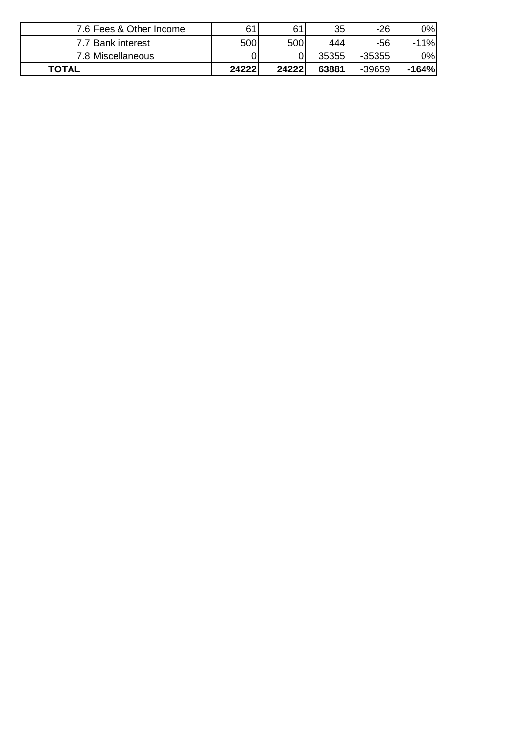|              | 7.6 Fees & Other Income | 61    | 61    | 35 <sub>1</sub> | $-26$    | 0%      |
|--------------|-------------------------|-------|-------|-----------------|----------|---------|
|              | 7.7 Bank interest       | 500   | 500l  | 444             | -561     | $-11%$  |
|              | 7.8 Miscellaneous       |       |       | 35355           | $-35355$ | 0%      |
| <b>TOTAL</b> |                         | 24222 | 24222 | 63881           | $-39659$ | $-164%$ |